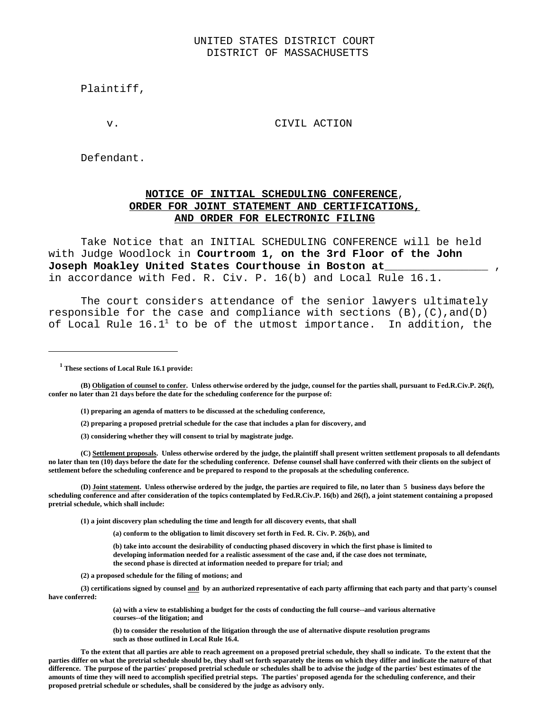#### UNITED STATES DISTRICT COURT DISTRICT OF MASSACHUSETTS

Plaintiff,

v. CIVIL ACTION

Defendant.

## **NOTICE OF INITIAL SCHEDULING CONFERENCE**, **ORDER FOR JOINT STATEMENT AND CERTIFICATIONS, AND ORDER FOR ELECTRONIC FILING**

Take Notice that an INITIAL SCHEDULING CONFERENCE will be held with Judge Woodlock in **Courtroom 1, on the 3rd Floor of the John Joseph Moakley United States Courthouse in Boston at**\_\_\_\_\_\_\_\_\_\_\_\_\_\_\_\_ , in accordance with Fed. R. Civ. P. 16(b) and Local Rule 16.1.

 The court considers attendance of the senior lawyers ultimately responsible for the case and compliance with sections  $(B)$ ,  $(C)$ , and $(D)$ of Local Rule  $16.1<sup>1</sup>$  to be of the utmost importance. In addition, the

 **1 These sections of Local Rule 16.1 provide:**

**(B) Obligation of counsel to confer. Unless otherwise ordered by the judge, counsel for the parties shall, pursuant to Fed.R.Civ.P. 26(f), confer no later than 21 days before the date for the scheduling conference for the purpose of:**

- **(1) preparing an agenda of matters to be discussed at the scheduling conference,**
- **(2) preparing a proposed pretrial schedule for the case that includes a plan for discovery, and**
- **(3) considering whether they will consent to trial by magistrate judge.**

**(C) Settlement proposals. Unless otherwise ordered by the judge, the plaintiff shall present written settlement proposals to all defendants no later than ten (10) days before the date for the scheduling conference. Defense counsel shall have conferred with their clients on the subject of settlement before the scheduling conference and be prepared to respond to the proposals at the scheduling conference.**

**(D) Joint statement. Unless otherwise ordered by the judge, the parties are required to file, no later than 5 business days before the scheduling conference and after consideration of the topics contemplated by Fed.R.Civ.P. 16(b) and 26(f), a joint statement containing a proposed pretrial schedule, which shall include:**

**(1) a joint discovery plan scheduling the time and length for all discovery events, that shall**

**(a) conform to the obligation to limit discovery set forth in Fed. R. Civ. P. 26(b), and**

**(b) take into account the desirability of conducting phased discovery in which the first phase is limited to developing information needed for a realistic assessment of the case and, if the case does not terminate, the second phase is directed at information needed to prepare for trial; and**

**(2) a proposed schedule for the filing of motions; and**

**(3) certifications signed by counsel and by an authorized representative of each party affirming that each party and that party's counsel have conferred:**

> **(a) with a view to establishing a budget for the costs of conducting the full course--and various alternative courses--of the litigation; and**

**(b) to consider the resolution of the litigation through the use of alternative dispute resolution programs such as those outlined in Local Rule 16.4.**

**To the extent that all parties are able to reach agreement on a proposed pretrial schedule, they shall so indicate. To the extent that the parties differ on what the pretrial schedule should be, they shall set forth separately the items on which they differ and indicate the nature of that difference. The purpose of the parties' proposed pretrial schedule or schedules shall be to advise the judge of the parties' best estimates of the amounts of time they will need to accomplish specified pretrial steps. The parties' proposed agenda for the scheduling conference, and their proposed pretrial schedule or schedules, shall be considered by the judge as advisory only.**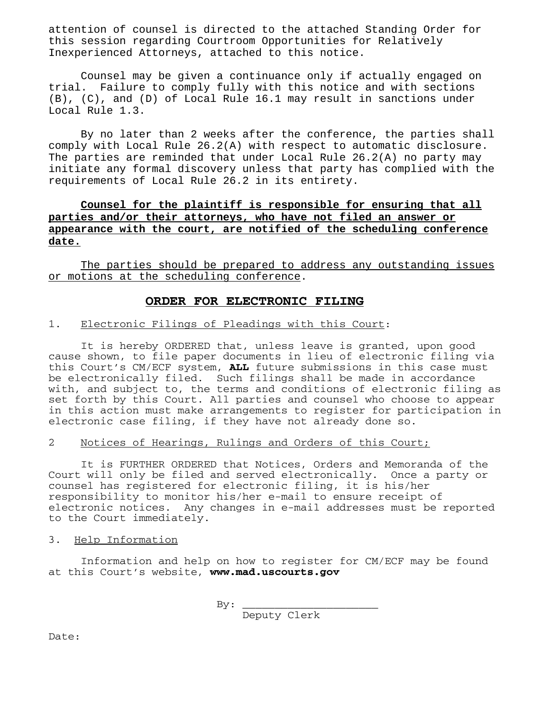attention of counsel is directed to the attached Standing Order for this session regarding Courtroom Opportunities for Relatively Inexperienced Attorneys, attached to this notice.

Counsel may be given a continuance only if actually engaged on trial. Failure to comply fully with this notice and with sections (B), (C), and (D) of Local Rule 16.1 may result in sanctions under Local Rule 1.3.

By no later than 2 weeks after the conference, the parties shall comply with Local Rule 26.2(A) with respect to automatic disclosure. The parties are reminded that under Local Rule 26.2(A) no party may initiate any formal discovery unless that party has complied with the requirements of Local Rule 26.2 in its entirety.

# **Counsel for the plaintiff is responsible for ensuring that all parties and/or their attorneys, who have not filed an answer or appearance with the court, are notified of the scheduling conference date.**

The parties should be prepared to address any outstanding issues or motions at the scheduling conference.

# **ORDER FOR ELECTRONIC FILING**

#### 1. Electronic Filings of Pleadings with this Court:

 It is hereby ORDERED that, unless leave is granted, upon good cause shown, to file paper documents in lieu of electronic filing via this Court's CM/ECF system, **ALL** future submissions in this case must be electronically filed. Such filings shall be made in accordance with, and subject to, the terms and conditions of electronic filing as set forth by this Court. All parties and counsel who choose to appear in this action must make arrangements to register for participation in electronic case filing, if they have not already done so.

### 2 Notices of Hearings, Rulings and Orders of this Court;

It is FURTHER ORDERED that Notices, Orders and Memoranda of the Court will only be filed and served electronically. Once a party or counsel has registered for electronic filing, it is his/her responsibility to monitor his/her e-mail to ensure receipt of electronic notices. Any changes in e-mail addresses must be reported to the Court immediately.

3. Help Information

Information and help on how to register for CM/ECF may be found at this Court's website, **www.mad.uscourts.gov**

> $By:$ Deputy Clerk

Date: